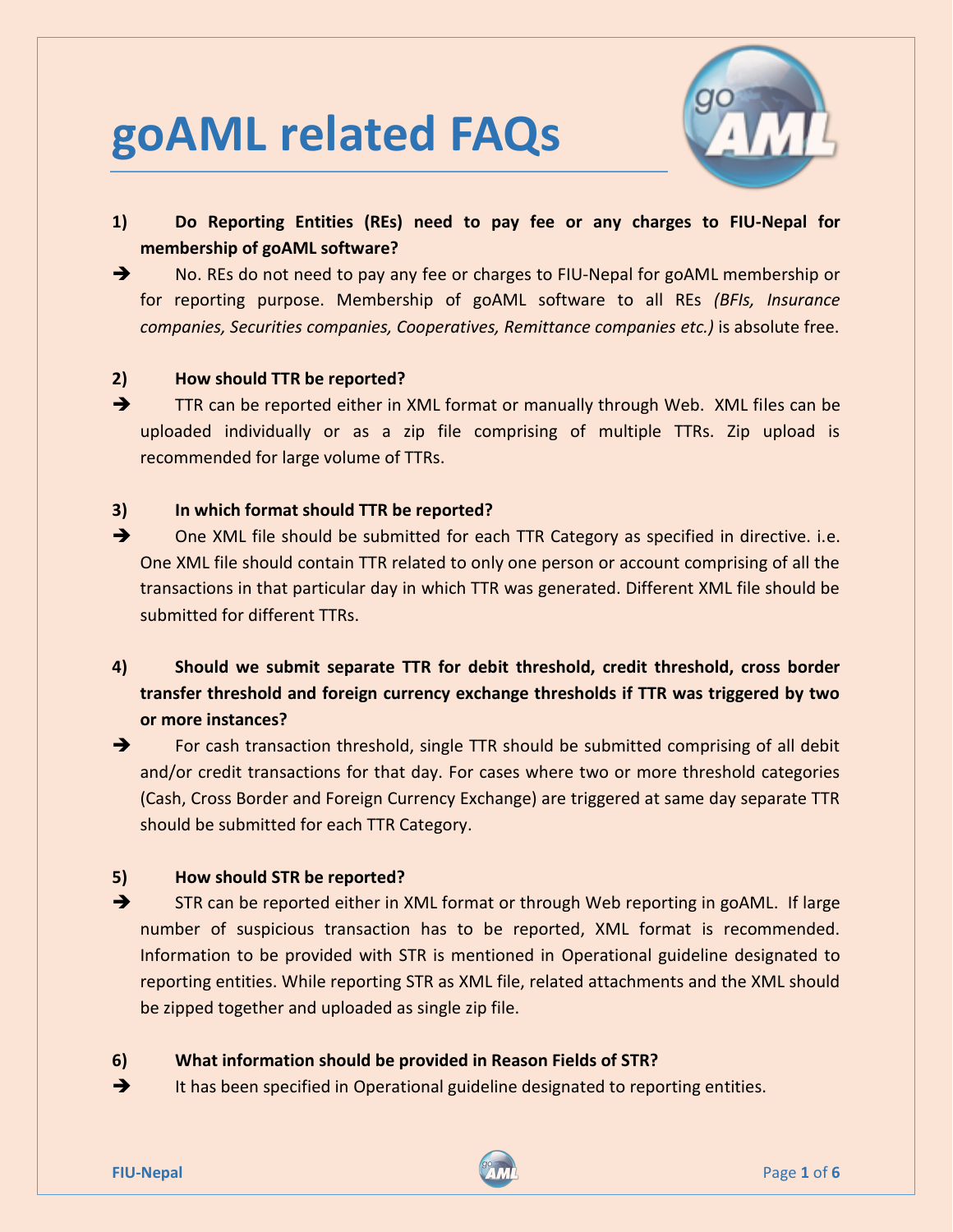# **goAML related FAQs**



- **1) Do Reporting Entities (REs) need to pay fee or any charges to FIU-Nepal for membership of goAML software?**
- → No. REs do not need to pay any fee or charges to FIU-Nepal for goAML membership or for reporting purpose. Membership of goAML software to all REs *(BFIs, Insurance companies, Securities companies, Cooperatives, Remittance companies etc.)* is absolute free.

## **2) How should TTR be reported?**

TTR can be reported either in XML format or manually through Web. XML files can be uploaded individually or as a zip file comprising of multiple TTRs. Zip upload is recommended for large volume of TTRs.

## **3) In which format should TTR be reported?**

- → One XML file should be submitted for each TTR Category as specified in directive. i.e. One XML file should contain TTR related to only one person or account comprising of all the transactions in that particular day in which TTR was generated. Different XML file should be submitted for different TTRs.
- **4) Should we submit separate TTR for debit threshold, credit threshold, cross border transfer threshold and foreign currency exchange thresholds if TTR was triggered by two or more instances?**

 $\rightarrow$  For cash transaction threshold, single TTR should be submitted comprising of all debit and/or credit transactions for that day. For cases where two or more threshold categories (Cash, Cross Border and Foreign Currency Exchange) are triggered at same day separate TTR should be submitted for each TTR Category.

## **5) How should STR be reported?**

STR can be reported either in XML format or through Web reporting in goAML. If large number of suspicious transaction has to be reported, XML format is recommended. Information to be provided with STR is mentioned in Operational guideline designated to reporting entities. While reporting STR as XML file, related attachments and the XML should be zipped together and uploaded as single zip file.

## **6) What information should be provided in Reason Fields of STR?**

 $\rightarrow$  It has been specified in Operational guideline designated to reporting entities.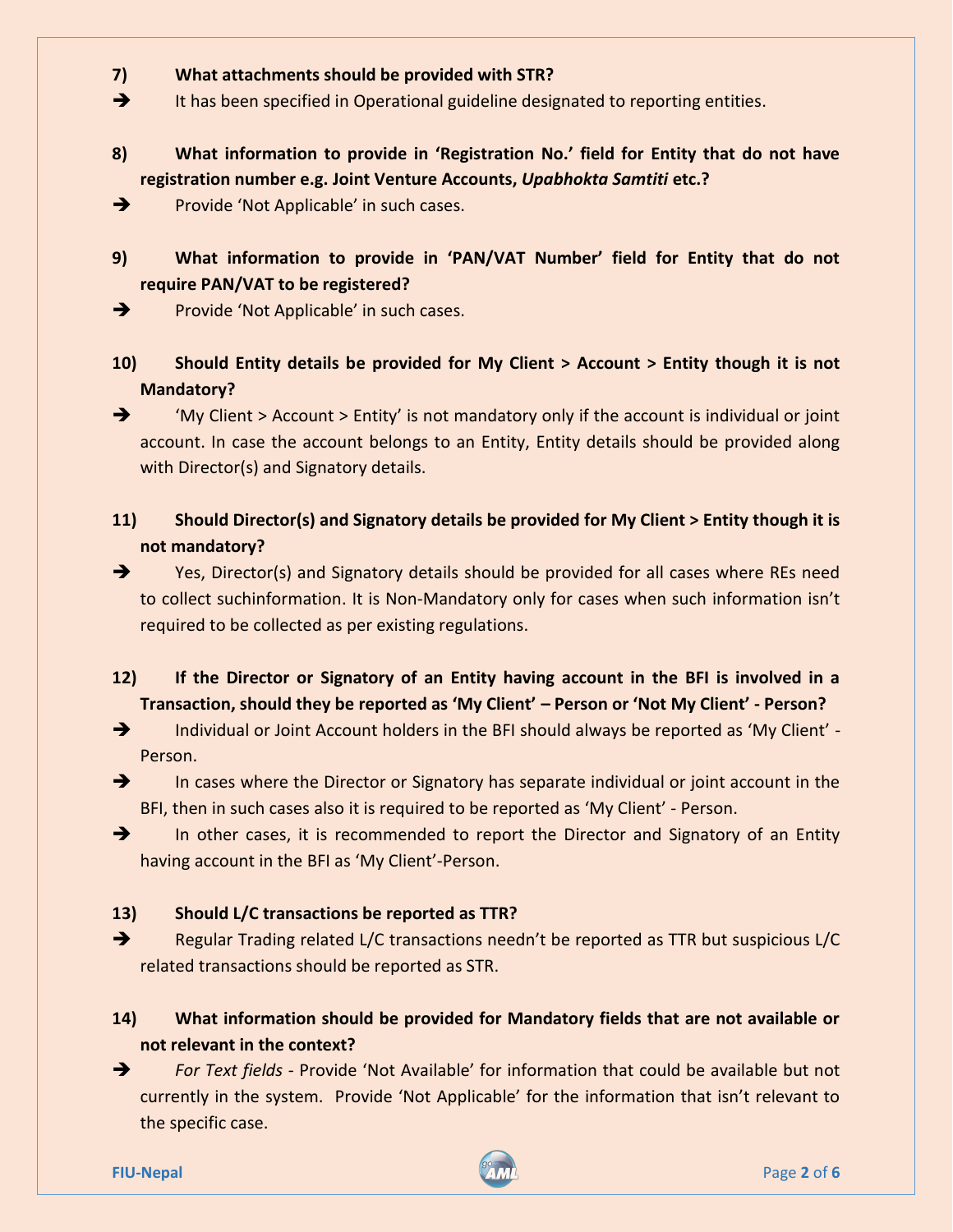## **7) What attachments should be provided with STR?**

 $\rightarrow$  It has been specified in Operational guideline designated to reporting entities.

## **8) What information to provide in 'Registration No.' field for Entity that do not have registration number e.g. Joint Venture Accounts,** *Upabhokta Samtiti* **etc.?**

Provide 'Not Applicable' in such cases.

**9) What information to provide in 'PAN/VAT Number' field for Entity that do not require PAN/VAT to be registered?**

 $\rightarrow$  Provide 'Not Applicable' in such cases.

**10) Should Entity details be provided for My Client > Account > Entity though it is not Mandatory?**

 $\rightarrow$  'My Client > Account > Entity' is not mandatory only if the account is individual or joint account. In case the account belongs to an Entity, Entity details should be provided along with Director(s) and Signatory details.

**11) Should Director(s) and Signatory details be provided for My Client > Entity though it is not mandatory?**

→ Yes, Director(s) and Signatory details should be provided for all cases where REs need to collect suchinformation. It is Non-Mandatory only for cases when such information isn't required to be collected as per existing regulations.

**12) If the Director or Signatory of an Entity having account in the BFI is involved in a Transaction, should they be reported as 'My Client' – Person or 'Not My Client' - Person?**

→ Individual or Joint Account holders in the BFI should always be reported as 'My Client' -Person.

 $\rightarrow$  In cases where the Director or Signatory has separate individual or joint account in the BFI, then in such cases also it is required to be reported as 'My Client' - Person.

 $\rightarrow$  In other cases, it is recommended to report the Director and Signatory of an Entity having account in the BFI as 'My Client'-Person.

#### **13) Should L/C transactions be reported as TTR?**

Regular Trading related L/C transactions needn't be reported as TTR but suspicious L/C related transactions should be reported as STR.

# **14) What information should be provided for Mandatory fields that are not available or not relevant in the context?**

→ For Text fields - Provide 'Not Available' for information that could be available but not currently in the system. Provide 'Not Applicable' for the information that isn't relevant to the specific case.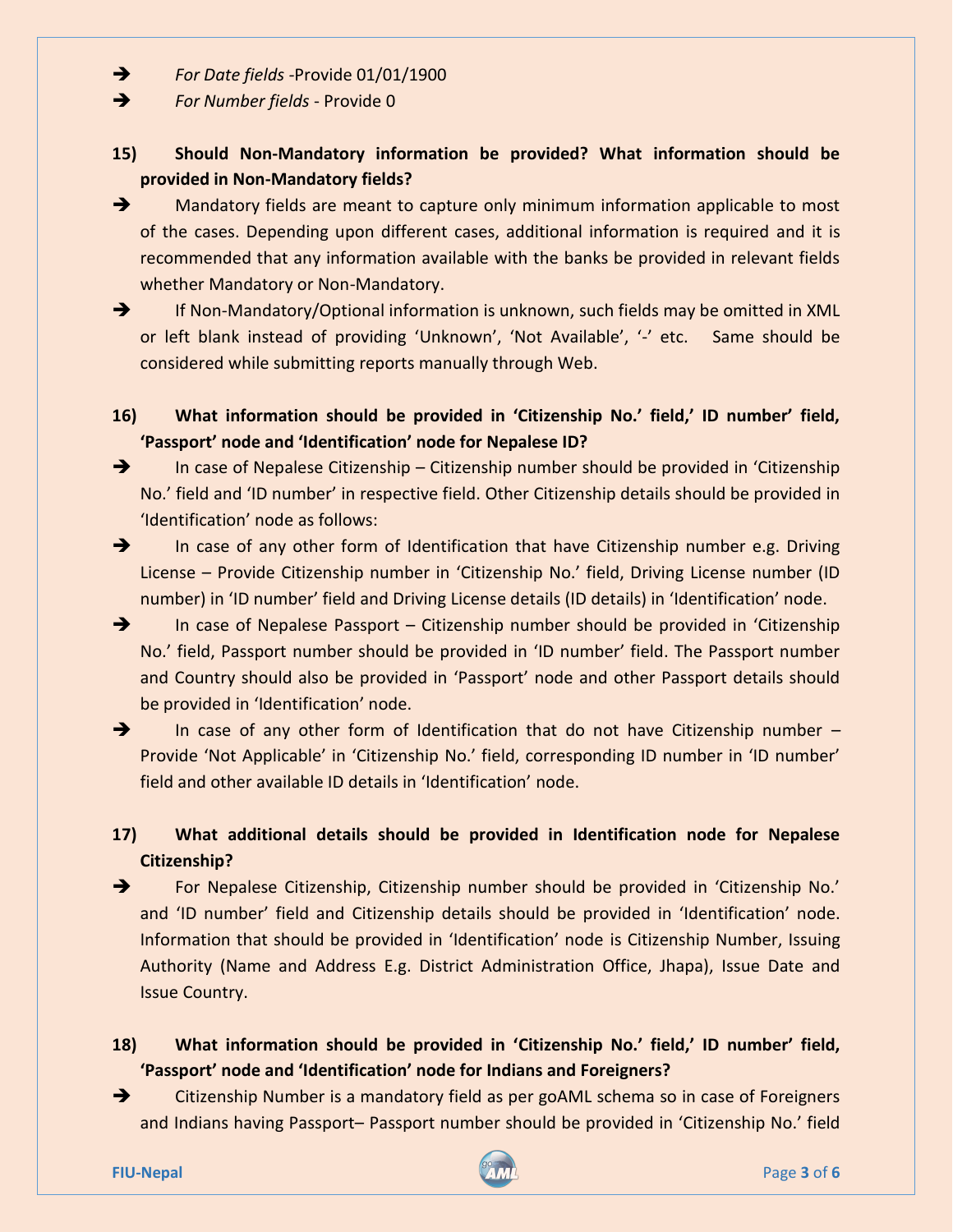*For Date fields -*Provide 01/01/1900

**For Number fields - Provide 0** 

## **15) Should Non-Mandatory information be provided? What information should be provided in Non-Mandatory fields?**

 $\rightarrow$  Mandatory fields are meant to capture only minimum information applicable to most of the cases. Depending upon different cases, additional information is required and it is recommended that any information available with the banks be provided in relevant fields whether Mandatory or Non-Mandatory.

**If Non-Mandatory/Optional information is unknown, such fields may be omitted in XML** or left blank instead of providing 'Unknown', 'Not Available', '-' etc. Same should be considered while submitting reports manually through Web.

## **16) What information should be provided in 'Citizenship No.' field,' ID number' field, 'Passport' node and 'Identification' node for Nepalese ID?**

→ In case of Nepalese Citizenship – Citizenship number should be provided in 'Citizenship No.' field and 'ID number' in respective field. Other Citizenship details should be provided in 'Identification' node as follows:

 $\rightarrow$  In case of any other form of Identification that have Citizenship number e.g. Driving License – Provide Citizenship number in 'Citizenship No.' field, Driving License number (ID number) in 'ID number' field and Driving License details (ID details) in 'Identification' node.

 $\rightarrow$  In case of Nepalese Passport – Citizenship number should be provided in 'Citizenship' No.' field, Passport number should be provided in 'ID number' field. The Passport number and Country should also be provided in 'Passport' node and other Passport details should be provided in 'Identification' node.

In case of any other form of Identification that do not have Citizenship number  $-$ Provide 'Not Applicable' in 'Citizenship No.' field, corresponding ID number in 'ID number' field and other available ID details in 'Identification' node.

# **17) What additional details should be provided in Identification node for Nepalese Citizenship?**

 For Nepalese Citizenship, Citizenship number should be provided in 'Citizenship No.' and 'ID number' field and Citizenship details should be provided in 'Identification' node. Information that should be provided in 'Identification' node is Citizenship Number, Issuing Authority (Name and Address E.g. District Administration Office, Jhapa), Issue Date and Issue Country.

# **18) What information should be provided in 'Citizenship No.' field,' ID number' field, 'Passport' node and 'Identification' node for Indians and Foreigners?**

→ Citizenship Number is a mandatory field as per goAML schema so in case of Foreigners and Indians having Passport– Passport number should be provided in 'Citizenship No.' field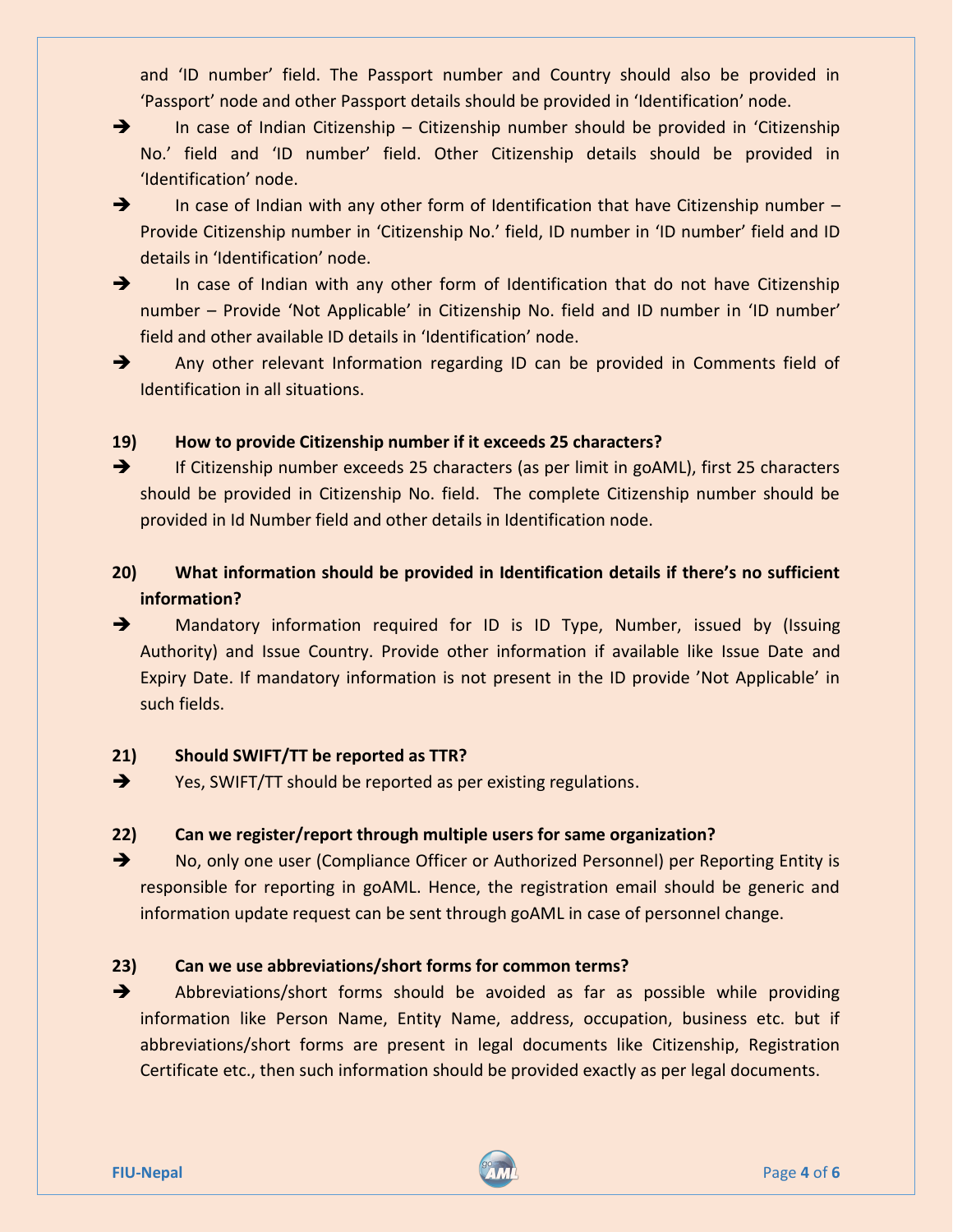and 'ID number' field. The Passport number and Country should also be provided in 'Passport' node and other Passport details should be provided in 'Identification' node.

 $\rightarrow$  In case of Indian Citizenship – Citizenship number should be provided in 'Citizenship' No.' field and 'ID number' field. Other Citizenship details should be provided in 'Identification' node.

- $\rightarrow$  In case of Indian with any other form of Identification that have Citizenship number Provide Citizenship number in 'Citizenship No.' field, ID number in 'ID number' field and ID details in 'Identification' node.
- $\rightarrow$  In case of Indian with any other form of Identification that do not have Citizenship number – Provide 'Not Applicable' in Citizenship No. field and ID number in 'ID number' field and other available ID details in 'Identification' node.
- 
- Any other relevant Information regarding ID can be provided in Comments field of Identification in all situations.

## **19) How to provide Citizenship number if it exceeds 25 characters?**

**EXECT** If Citizenship number exceeds 25 characters (as per limit in goAML), first 25 characters should be provided in Citizenship No. field. The complete Citizenship number should be provided in Id Number field and other details in Identification node.

# **20) What information should be provided in Identification details if there's no sufficient information?**

**+** Mandatory information required for ID is ID Type, Number, issued by (Issuing Authority) and Issue Country. Provide other information if available like Issue Date and Expiry Date. If mandatory information is not present in the ID provide 'Not Applicable' in such fields.

## **21) Should SWIFT/TT be reported as TTR?**

Yes, SWIFT/TT should be reported as per existing regulations.

## **22) Can we register/report through multiple users for same organization?**

→ No, only one user (Compliance Officer or Authorized Personnel) per Reporting Entity is responsible for reporting in goAML. Hence, the registration email should be generic and information update request can be sent through goAML in case of personnel change.

## **23) Can we use abbreviations/short forms for common terms?**

Abbreviations/short forms should be avoided as far as possible while providing information like Person Name, Entity Name, address, occupation, business etc. but if abbreviations/short forms are present in legal documents like Citizenship, Registration Certificate etc., then such information should be provided exactly as per legal documents.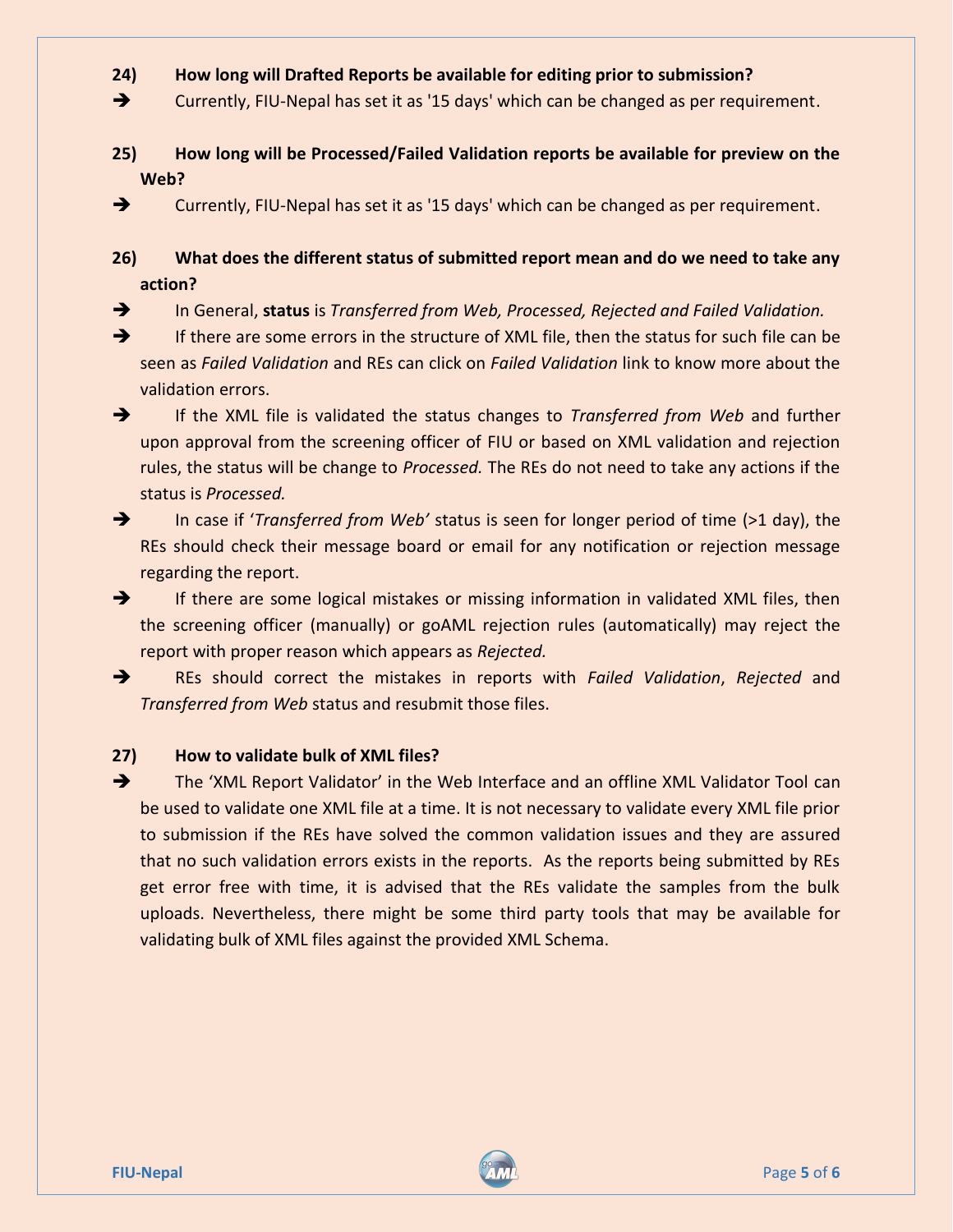## **24) How long will Drafted Reports be available for editing prior to submission?**

→ Currently, FIU-Nepal has set it as '15 days' which can be changed as per requirement.

**25) How long will be Processed/Failed Validation reports be available for preview on the Web?** 

 $\rightarrow$  Currently, FIU-Nepal has set it as '15 days' which can be changed as per requirement.

**26) What does the different status of submitted report mean and do we need to take any action?**

In General, **status** is *Transferred from Web, Processed, Rejected and Failed Validation.* 

If there are some errors in the structure of XML file, then the status for such file can be seen as *Failed Validation* and REs can click on *Failed Validation* link to know more about the validation errors.

**EXAL FRANCE 19 If the XML file is validated the status changes to** *Transferred from Web* **and further** upon approval from the screening officer of FIU or based on XML validation and rejection rules, the status will be change to *Processed.* The REs do not need to take any actions if the status is *Processed.*

 In case if '*Transferred from Web'* status is seen for longer period of time (>1 day), the REs should check their message board or email for any notification or rejection message regarding the report.

 $\rightarrow$  If there are some logical mistakes or missing information in validated XML files, then the screening officer (manually) or goAML rejection rules (automatically) may reject the report with proper reason which appears as *Rejected.*

 REs should correct the mistakes in reports with *Failed Validation*, *Rejected* and *Transferred from Web* status and resubmit those files.

#### **27) How to validate bulk of XML files?**

The 'XML Report Validator' in the Web Interface and an offline XML Validator Tool can be used to validate one XML file at a time. It is not necessary to validate every XML file prior to submission if the REs have solved the common validation issues and they are assured that no such validation errors exists in the reports. As the reports being submitted by REs get error free with time, it is advised that the REs validate the samples from the bulk uploads. Nevertheless, there might be some third party tools that may be available for validating bulk of XML files against the provided XML Schema.